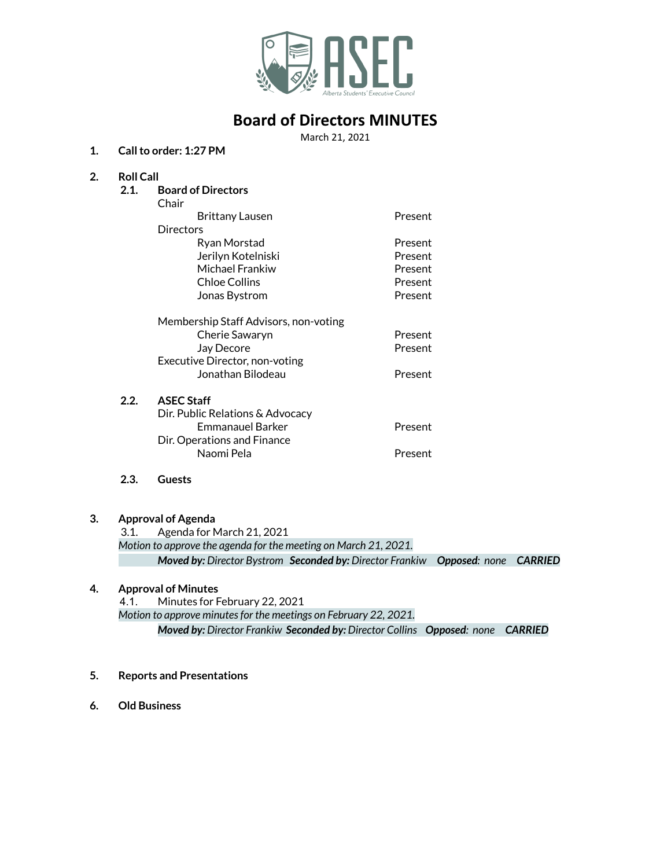

# **Board of Directors MINUTES**

March 21, 2021

#### **1. Callto order: 1:27 PM**

## **2. Roll Call**

- **2.1. Board of Directors** Chair Brittany Lausen **Present Directors** Ryan Morstad **Present** Jerilyn Kotelniski Present Michael Frankiw **Present** Chloe Collins **Present** Jonas Bystrom **Present** Membership Staff Advisors, non-voting Cherie Sawaryn **Present** Jay Decore **Present** Executive Director, non-voting Jonathan Bilodeau Present **2.2. ASEC Staff** Dir. Public Relations & Advocacy Emmanauel Barker **Present** Dir. Operations and Finance
	- Naomi Pela **Present**
- **2.3. Guests**

#### **3. Approval of Agenda**

3.1. Agenda for March 21, 2021 *Motion to approve the agenda for the meeting on March 21, 2021. Moved by: Director Bystrom Seconded by: Director Frankiw Opposed: none CARRIED*

#### **4. Approval of Minutes**

4.1. Minutes for February 22, 2021 *Motion to approve minutesfor the meetings on February 22, 2021. Moved by: Director Frankiw Seconded by: Director Collins Opposed: none CARRIED*

- **5. Reports and Presentations**
- **6. Old Business**